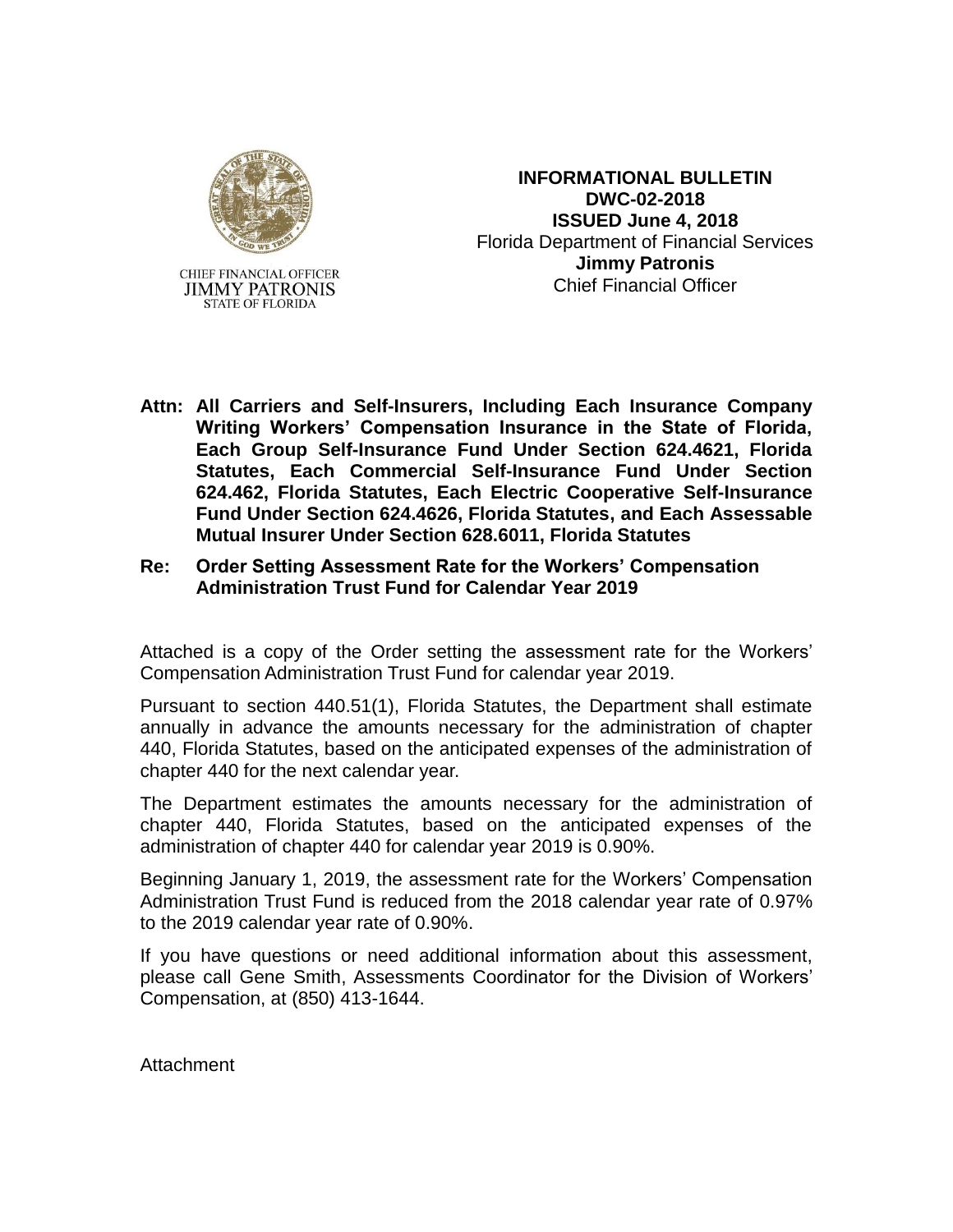

**STATE OF FLORIDA** 

**INFORMATIONAL BULLETIN DWC-02-2018 ISSUED June 4, 2018** Florida Department of Financial Services **Jimmy Patronis** Chief Financial Officer

- **Attn: All Carriers and Self-Insurers, Including Each Insurance Company Writing Workers' Compensation Insurance in the State of Florida, Each Group Self-Insurance Fund Under Section 624.4621, Florida Statutes, Each Commercial Self-Insurance Fund Under Section 624.462, Florida Statutes, Each Electric Cooperative Self-Insurance Fund Under Section 624.4626, Florida Statutes, and Each Assessable Mutual Insurer Under Section 628.6011, Florida Statutes**
- **Re: Order Setting Assessment Rate for the Workers' Compensation Administration Trust Fund for Calendar Year 2019**

Attached is a copy of the Order setting the assessment rate for the Workers' Compensation Administration Trust Fund for calendar year 2019.

Pursuant to section 440.51(1), Florida Statutes, the Department shall estimate annually in advance the amounts necessary for the administration of chapter 440, Florida Statutes, based on the anticipated expenses of the administration of chapter 440 for the next calendar year.

The Department estimates the amounts necessary for the administration of chapter 440, Florida Statutes, based on the anticipated expenses of the administration of chapter 440 for calendar year 2019 is 0.90%.

Beginning January 1, 2019, the assessment rate for the Workers' Compensation Administration Trust Fund is reduced from the 2018 calendar year rate of 0.97% to the 2019 calendar year rate of 0.90%.

If you have questions or need additional information about this assessment, please call Gene Smith, Assessments Coordinator for the Division of Workers' Compensation, at (850) 413-1644.

Attachment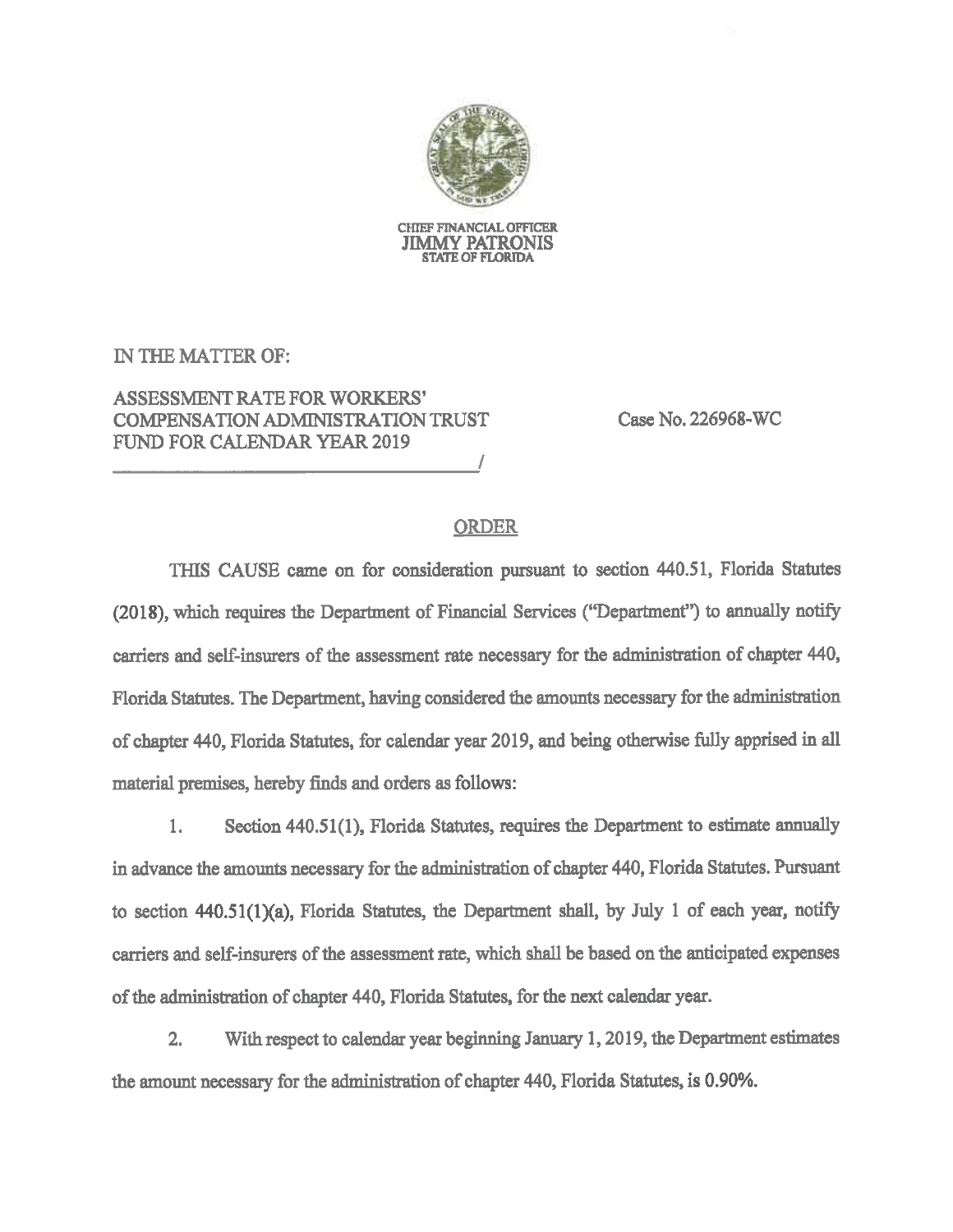

CHIEF FINANCIAL OFFICER **JIMMY PATRONIS STATE OF FLORIDA** 

IN THE MATTER OF:

# **ASSESSMENT RATE FOR WORKERS' COMPENSATION ADMINISTRATION TRUST FUND FOR CALENDAR YEAR 2019**

Case No. 226968-WC

## **ORDER**

THIS CAUSE came on for consideration pursuant to section 440.51, Florida Statutes (2018), which requires the Department of Financial Services ("Department") to annually notify carriers and self-insurers of the assessment rate necessary for the administration of chapter 440, Florida Statutes. The Department, having considered the amounts necessary for the administration of chapter 440, Florida Statutes, for calendar year 2019, and being otherwise fully apprised in all material premises, hereby finds and orders as follows:

Section 440.51(1), Florida Statutes, requires the Department to estimate annually 1. in advance the amounts necessary for the administration of chapter 440, Florida Statutes. Pursuant to section 440.51(1)(a), Florida Statutes, the Department shall, by July 1 of each year, notify carriers and self-insurers of the assessment rate, which shall be based on the anticipated expenses of the administration of chapter 440, Florida Statutes, for the next calendar year.

With respect to calendar year beginning January 1, 2019, the Department estimates  $2.$ the amount necessary for the administration of chapter 440, Florida Statutes, is 0.90%.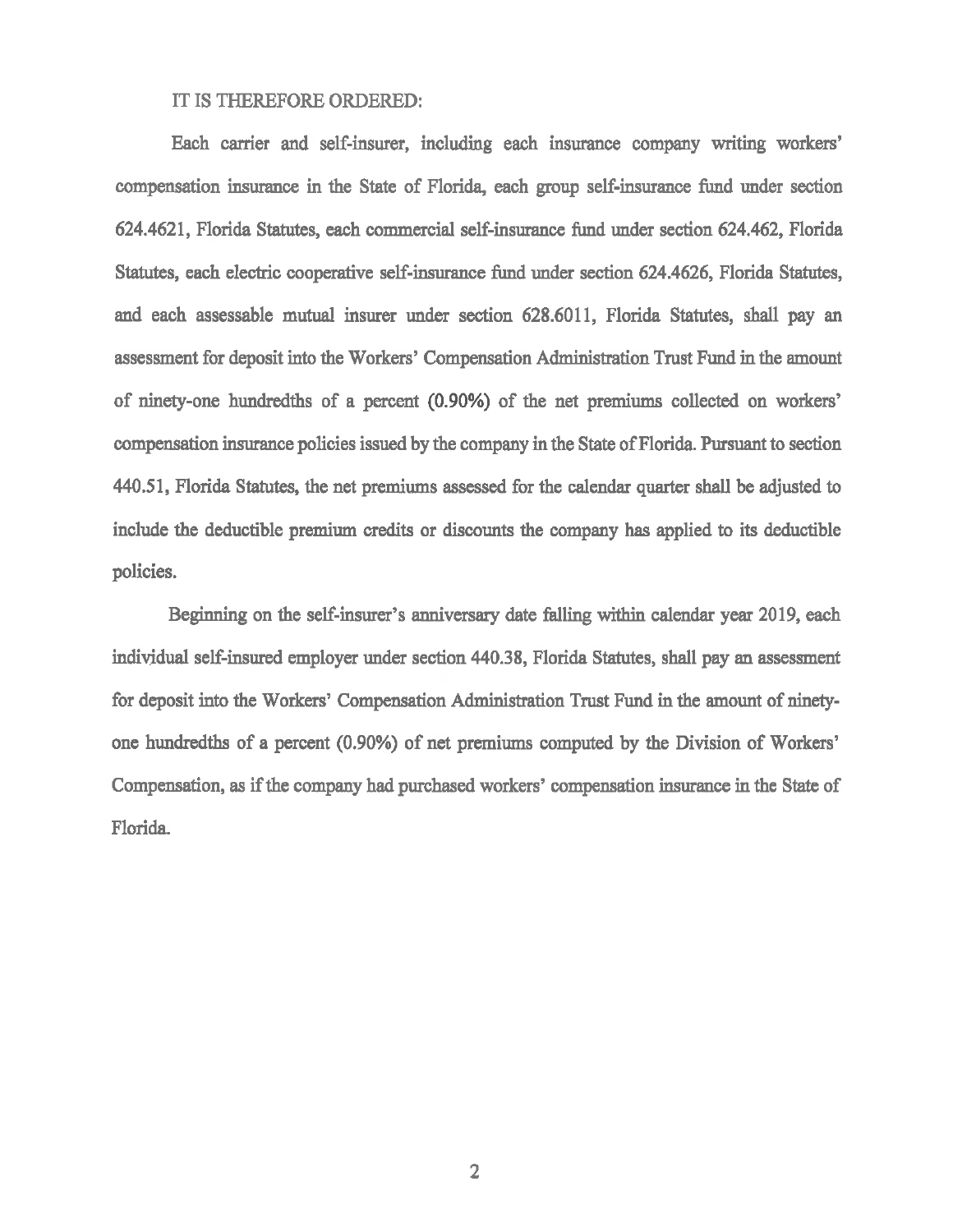#### IT IS THEREFORE ORDERED:

Each carrier and self-insurer, including each insurance company writing workers' compensation insurance in the State of Florida, each group self-insurance fund under section 624.4621, Florida Statutes, each commercial self-insurance fund under section 624.462, Florida Statutes, each electric cooperative self-insurance fund under section 624.4626, Florida Statutes, and each assessable mutual insurer under section 628.6011, Florida Statutes, shall pay an assessment for deposit into the Workers' Compensation Administration Trust Fund in the amount of ninety-one hundredths of a percent (0.90%) of the net premiums collected on workers' compensation insurance policies issued by the company in the State of Florida. Pursuant to section 440.51, Florida Statutes, the net premiums assessed for the calendar quarter shall be adjusted to include the deductible premium credits or discounts the company has applied to its deductible policies.

Beginning on the self-insurer's anniversary date falling within calendar year 2019, each individual self-insured employer under section 440.38, Florida Statutes, shall pay an assessment for deposit into the Workers' Compensation Administration Trust Fund in the amount of ninetyone hundredths of a percent (0.90%) of net premiums computed by the Division of Workers' Compensation, as if the company had purchased workers' compensation insurance in the State of Florida.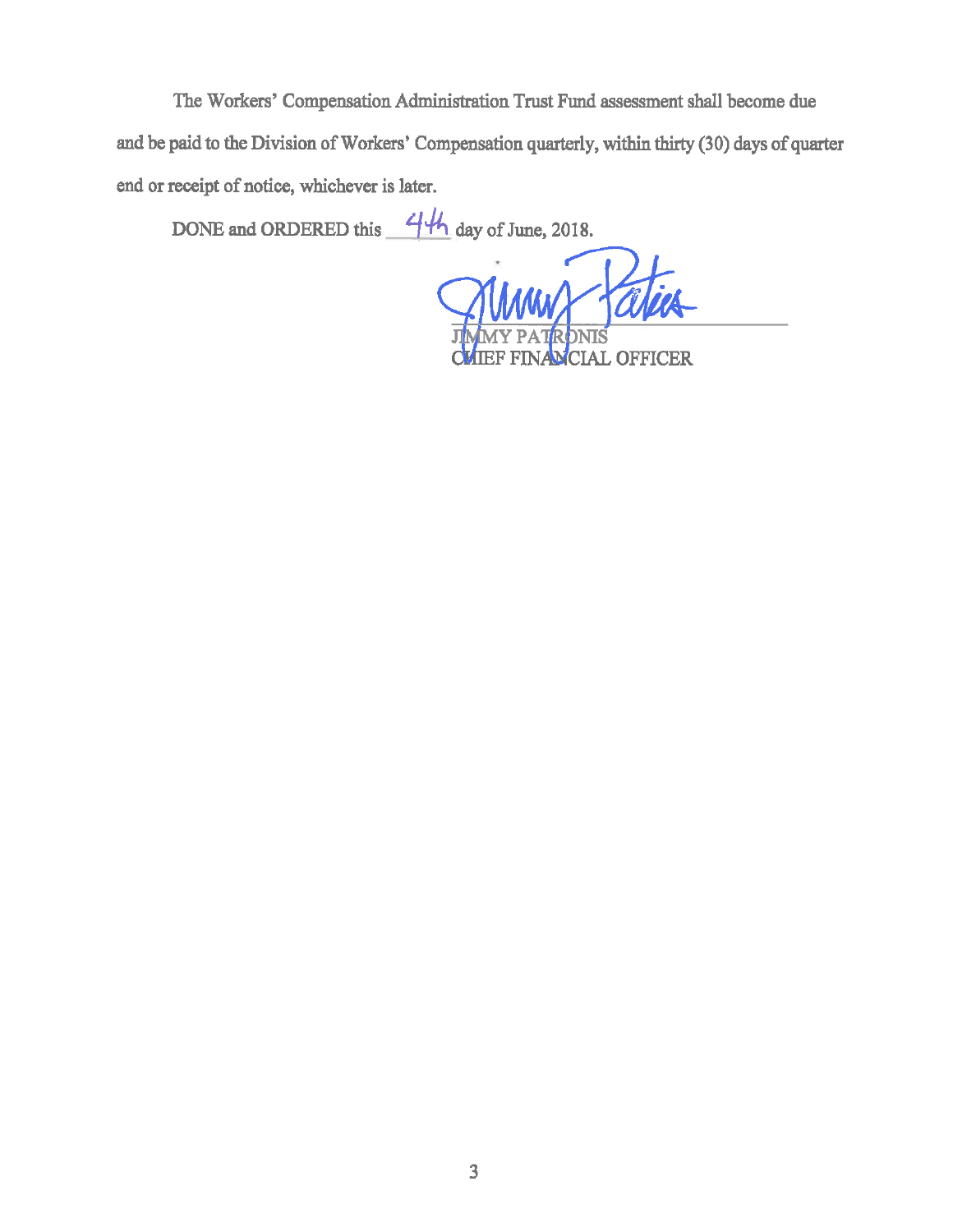The Workers' Compensation Administration Trust Fund assessment shall become due and be paid to the Division of Workers' Compensation quarterly, within thirty (30) days of quarter end or receipt of notice, whichever is later.

DONE and ORDERED this  $44$  day of June, 2018.

**CIAL OFFICER**